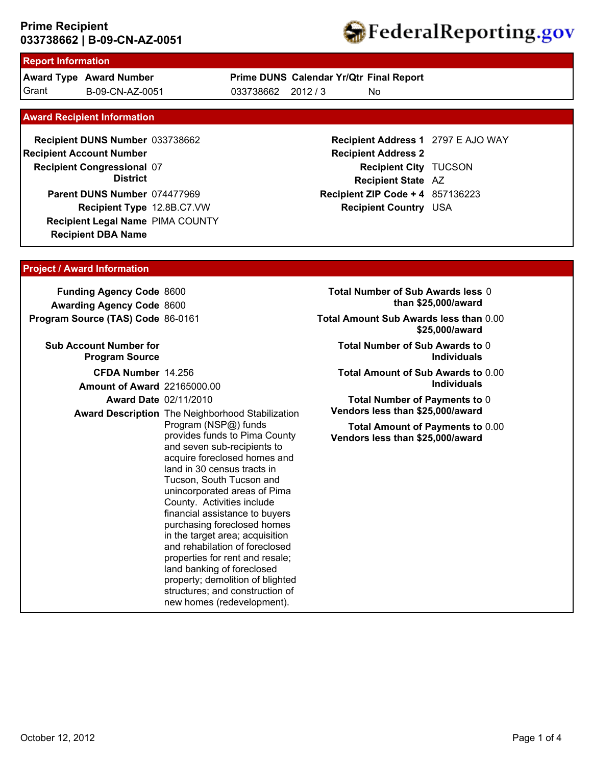

### **Report Information**

Grant B-09-CN-AZ-0051 033738662 2012 / 3 **Award Type Award Number** B-09-CN-AZ-0051

# **Prime DUNS Calendar Yr/Qtr Final Report**

No

### **Award Recipient Information**

**Recipient DBA Name** 033738662 **Recipient DUNS Number Recipient Congressional 07 Recipient Account Number District Recipient Type** 12.8B.C7.VW **Parent DUNS Number** 074477969 **Recipient Legal Name** PIMA COUNTY

## **Recipient Address 1** 2797 E AJO WAY **Recipient Address 2 Recipient City** TUCSON **Recipient State** AZ **Recipient ZIP Code + 4** 857136223 **Recipient Country** USA

## **Project / Award Information**

**Funding Agency Code** 8600 **Awarding Agency Code** 8600 **Program Source (TAS) Code** 86-0161

| <b>Sub Account Number for</b><br><b>Program Source</b> |                                                                                                                                                                                                                                                                                                                                                                                                                                                                                                                                                                                                                      |
|--------------------------------------------------------|----------------------------------------------------------------------------------------------------------------------------------------------------------------------------------------------------------------------------------------------------------------------------------------------------------------------------------------------------------------------------------------------------------------------------------------------------------------------------------------------------------------------------------------------------------------------------------------------------------------------|
| CFDA Number 14.256                                     |                                                                                                                                                                                                                                                                                                                                                                                                                                                                                                                                                                                                                      |
| <b>Amount of Award 22165000.00</b>                     |                                                                                                                                                                                                                                                                                                                                                                                                                                                                                                                                                                                                                      |
| <b>Award Date 02/11/2010</b>                           |                                                                                                                                                                                                                                                                                                                                                                                                                                                                                                                                                                                                                      |
|                                                        | <b>Award Description</b> The Neighborhood Stabilization<br>Program (NSP@) funds<br>provides funds to Pima County<br>and seven sub-recipients to<br>acquire foreclosed homes and<br>land in 30 census tracts in<br>Tucson, South Tucson and<br>unincorporated areas of Pima<br>County. Activities include<br>financial assistance to buyers<br>purchasing foreclosed homes<br>in the target area; acquisition<br>and rehabilation of foreclosed<br>properties for rent and resale;<br>land banking of foreclosed<br>property; demolition of blighted<br>structures; and construction of<br>new homes (redevelopment). |

- **Total Number of Sub Awards less** 0 **than \$25,000/award**
- **Total Amount Sub Awards less than** 0.00 **\$25,000/award**
	- **Total Number of Sub Awards to** 0 **Individuals**
	- **Total Amount of Sub Awards to** 0.00 **Individuals**
	- **Total Number of Payments to** 0 **Vendors less than \$25,000/award**

**Total Amount of Payments to** 0.00 **Vendors less than \$25,000/award**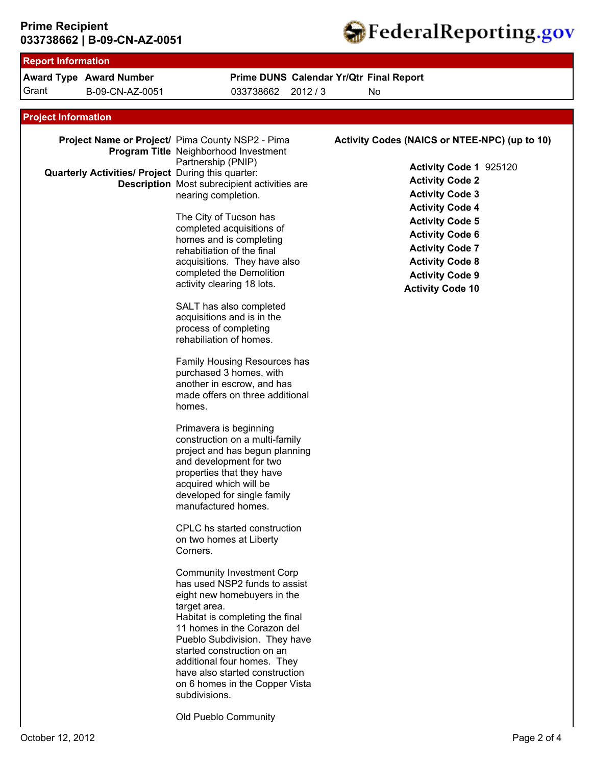

| <b>Report Information</b>                                                        |                                                                                                                                                                                                                                                                                                                                                                                                                                                                                                                                                                                                                                                                                                            |                                                                                                                                                                                                                                                                                                                    |  |  |  |  |
|----------------------------------------------------------------------------------|------------------------------------------------------------------------------------------------------------------------------------------------------------------------------------------------------------------------------------------------------------------------------------------------------------------------------------------------------------------------------------------------------------------------------------------------------------------------------------------------------------------------------------------------------------------------------------------------------------------------------------------------------------------------------------------------------------|--------------------------------------------------------------------------------------------------------------------------------------------------------------------------------------------------------------------------------------------------------------------------------------------------------------------|--|--|--|--|
| <b>Award Type Award Number</b>                                                   | Prime DUNS Calendar Yr/Qtr Final Report                                                                                                                                                                                                                                                                                                                                                                                                                                                                                                                                                                                                                                                                    |                                                                                                                                                                                                                                                                                                                    |  |  |  |  |
| Grant<br>B-09-CN-AZ-0051                                                         | 033738662<br>2012/3                                                                                                                                                                                                                                                                                                                                                                                                                                                                                                                                                                                                                                                                                        | No                                                                                                                                                                                                                                                                                                                 |  |  |  |  |
|                                                                                  |                                                                                                                                                                                                                                                                                                                                                                                                                                                                                                                                                                                                                                                                                                            |                                                                                                                                                                                                                                                                                                                    |  |  |  |  |
| <b>Project Information</b><br>Quarterly Activities/ Project During this quarter: | Project Name or Project/ Pima County NSP2 - Pima<br>Program Title Neighborhood Investment<br>Partnership (PNIP)<br><b>Description</b> Most subrecipient activities are<br>nearing completion.<br>The City of Tucson has<br>completed acquisitions of<br>homes and is completing<br>rehabitiation of the final<br>acquisitions. They have also<br>completed the Demolition<br>activity clearing 18 lots.<br>SALT has also completed<br>acquisitions and is in the<br>process of completing<br>rehabiliation of homes.<br>Family Housing Resources has<br>purchased 3 homes, with<br>another in escrow, and has<br>made offers on three additional<br>homes.                                                 | Activity Codes (NAICS or NTEE-NPC) (up to 10)<br>Activity Code 1 925120<br><b>Activity Code 2</b><br><b>Activity Code 3</b><br><b>Activity Code 4</b><br><b>Activity Code 5</b><br><b>Activity Code 6</b><br><b>Activity Code 7</b><br><b>Activity Code 8</b><br><b>Activity Code 9</b><br><b>Activity Code 10</b> |  |  |  |  |
|                                                                                  | Primavera is beginning<br>construction on a multi-family<br>project and has begun planning<br>and development for two<br>properties that they have<br>acquired which will be<br>developed for single family<br>manufactured homes.<br>CPLC hs started construction<br>on two homes at Liberty<br>Corners.<br><b>Community Investment Corp</b><br>has used NSP2 funds to assist<br>eight new homebuyers in the<br>target area.<br>Habitat is completing the final<br>11 homes in the Corazon del<br>Pueblo Subdivision. They have<br>started construction on an<br>additional four homes. They<br>have also started construction<br>on 6 homes in the Copper Vista<br>subdivisions.<br>Old Pueblo Community |                                                                                                                                                                                                                                                                                                                    |  |  |  |  |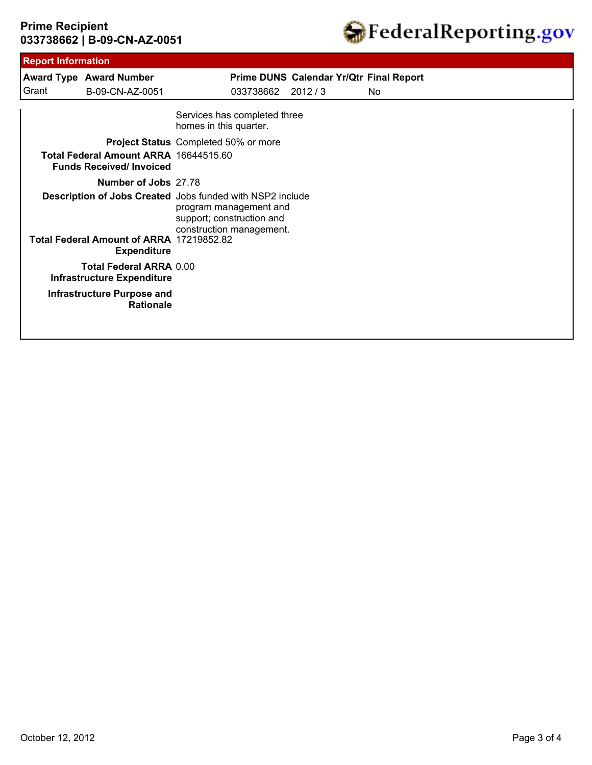

| <b>Report Information</b>                                               |                                                                                                                                              |                                |                                         |     |
|-------------------------------------------------------------------------|----------------------------------------------------------------------------------------------------------------------------------------------|--------------------------------|-----------------------------------------|-----|
| <b>Award Type Award Number</b>                                          |                                                                                                                                              |                                | Prime DUNS Calendar Yr/Qtr Final Report |     |
| B-09-CN-AZ-0051                                                         |                                                                                                                                              | 033738662                      | 2012/3                                  | No. |
|                                                                         | Services has completed three<br>homes in this quarter.                                                                                       |                                |                                         |     |
| <b>Project Status</b> Completed 50% or more                             |                                                                                                                                              |                                |                                         |     |
| Total Federal Amount ARRA 16644515.60<br><b>Funds Received/Invoiced</b> |                                                                                                                                              |                                |                                         |     |
| Number of Jobs 27.78                                                    |                                                                                                                                              |                                |                                         |     |
|                                                                         | Description of Jobs Created Jobs funded with NSP2 include<br>program management and<br>support; construction and<br>construction management. |                                |                                         |     |
| Total Federal Amount of ARRA 17219852.82<br><b>Expenditure</b>          |                                                                                                                                              |                                |                                         |     |
| <b>Infrastructure Expenditure</b>                                       |                                                                                                                                              |                                |                                         |     |
| <b>Infrastructure Purpose and</b><br><b>Rationale</b>                   |                                                                                                                                              |                                |                                         |     |
|                                                                         |                                                                                                                                              | <b>Total Federal ARRA 0.00</b> |                                         |     |